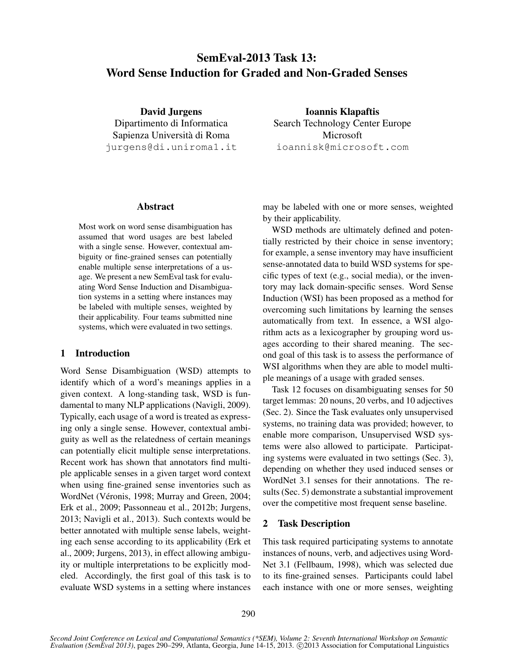# SemEval-2013 Task 13: Word Sense Induction for Graded and Non-Graded Senses

David Jurgens Dipartimento di Informatica Sapienza Universita di Roma ` jurgens@di.uniroma1.it

Ioannis Klapaftis Search Technology Center Europe Microsoft ioannisk@microsoft.com

# Abstract

Most work on word sense disambiguation has assumed that word usages are best labeled with a single sense. However, contextual ambiguity or fine-grained senses can potentially enable multiple sense interpretations of a usage. We present a new SemEval task for evaluating Word Sense Induction and Disambiguation systems in a setting where instances may be labeled with multiple senses, weighted by their applicability. Four teams submitted nine systems, which were evaluated in two settings.

## 1 Introduction

Word Sense Disambiguation (WSD) attempts to identify which of a word's meanings applies in a given context. A long-standing task, WSD is fundamental to many NLP applications (Navigli, 2009). Typically, each usage of a word is treated as expressing only a single sense. However, contextual ambiguity as well as the relatedness of certain meanings can potentially elicit multiple sense interpretations. Recent work has shown that annotators find multiple applicable senses in a given target word context when using fine-grained sense inventories such as WordNet (Véronis, 1998; Murray and Green, 2004; Erk et al., 2009; Passonneau et al., 2012b; Jurgens, 2013; Navigli et al., 2013). Such contexts would be better annotated with multiple sense labels, weighting each sense according to its applicability (Erk et al., 2009; Jurgens, 2013), in effect allowing ambiguity or multiple interpretations to be explicitly modeled. Accordingly, the first goal of this task is to evaluate WSD systems in a setting where instances may be labeled with one or more senses, weighted by their applicability.

WSD methods are ultimately defined and potentially restricted by their choice in sense inventory; for example, a sense inventory may have insufficient sense-annotated data to build WSD systems for specific types of text (e.g., social media), or the inventory may lack domain-specific senses. Word Sense Induction (WSI) has been proposed as a method for overcoming such limitations by learning the senses automatically from text. In essence, a WSI algorithm acts as a lexicographer by grouping word usages according to their shared meaning. The second goal of this task is to assess the performance of WSI algorithms when they are able to model multiple meanings of a usage with graded senses.

Task 12 focuses on disambiguating senses for 50 target lemmas: 20 nouns, 20 verbs, and 10 adjectives (Sec. 2). Since the Task evaluates only unsupervised systems, no training data was provided; however, to enable more comparison, Unsupervised WSD systems were also allowed to participate. Participating systems were evaluated in two settings (Sec. 3), depending on whether they used induced senses or WordNet 3.1 senses for their annotations. The results (Sec. 5) demonstrate a substantial improvement over the competitive most frequent sense baseline.

## 2 Task Description

This task required participating systems to annotate instances of nouns, verb, and adjectives using Word-Net 3.1 (Fellbaum, 1998), which was selected due to its fine-grained senses. Participants could label each instance with one or more senses, weighting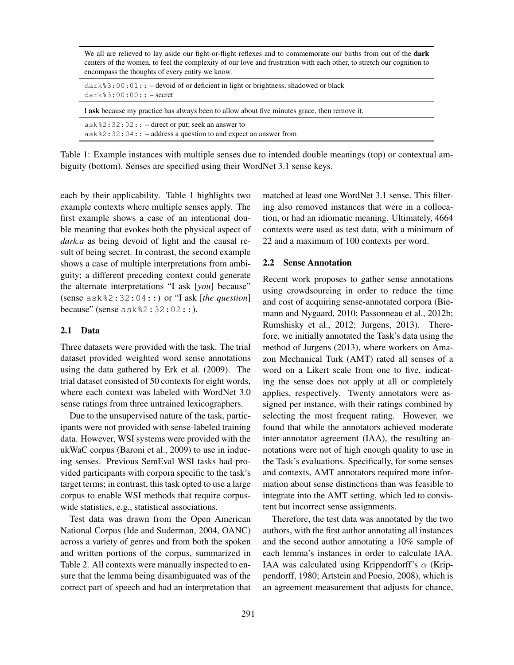We all are relieved to lay aside our fight-or-flight reflexes and to commemorate our births from out of the **dark** centers of the women, to feel the complexity of our love and frustration with each other, to stretch our cognition to encompass the thoughts of every entity we know.

| $dark$ 3:00:01: - devoid of or deficient in light or brightness; shadowed or black<br>$dark$ $3:00:00::$ $- secret$              |  |
|----------------------------------------------------------------------------------------------------------------------------------|--|
| I ask because my practice has always been to allow about five minutes grace, then remove it.                                     |  |
| $ask$ $2:32:02::-$ direct or put; seek an answer to<br>$ask$ % 2 : 32 : 04 : : – address a question to and expect an answer from |  |

Table 1: Example instances with multiple senses due to intended double meanings (top) or contextual ambiguity (bottom). Senses are specified using their WordNet 3.1 sense keys.

each by their applicability. Table 1 highlights two example contexts where multiple senses apply. The first example shows a case of an intentional double meaning that evokes both the physical aspect of *dark.a* as being devoid of light and the causal result of being secret. In contrast, the second example shows a case of multiple interpretations from ambiguity; a different preceding context could generate the alternate interpretations "I ask [*you*] because" (sense ask%2:32:04::) or "I ask [*the question*] because" (sense ask%2:32:02::).

#### 2.1 Data

Three datasets were provided with the task. The trial dataset provided weighted word sense annotations using the data gathered by Erk et al. (2009). The trial dataset consisted of 50 contexts for eight words, where each context was labeled with WordNet 3.0 sense ratings from three untrained lexicographers.

Due to the unsupervised nature of the task, participants were not provided with sense-labeled training data. However, WSI systems were provided with the ukWaC corpus (Baroni et al., 2009) to use in inducing senses. Previous SemEval WSI tasks had provided participants with corpora specific to the task's target terms; in contrast, this task opted to use a large corpus to enable WSI methods that require corpuswide statistics, e.g., statistical associations.

Test data was drawn from the Open American National Corpus (Ide and Suderman, 2004, OANC) across a variety of genres and from both the spoken and written portions of the corpus, summarized in Table 2. All contexts were manually inspected to ensure that the lemma being disambiguated was of the correct part of speech and had an interpretation that

matched at least one WordNet 3.1 sense. This filtering also removed instances that were in a collocation, or had an idiomatic meaning. Ultimately, 4664 contexts were used as test data, with a minimum of 22 and a maximum of 100 contexts per word.

#### 2.2 Sense Annotation

Recent work proposes to gather sense annotations using crowdsourcing in order to reduce the time and cost of acquiring sense-annotated corpora (Biemann and Nygaard, 2010; Passonneau et al., 2012b; Rumshisky et al., 2012; Jurgens, 2013). Therefore, we initially annotated the Task's data using the method of Jurgens (2013), where workers on Amazon Mechanical Turk (AMT) rated all senses of a word on a Likert scale from one to five, indicating the sense does not apply at all or completely applies, respectively. Twenty annotators were assigned per instance, with their ratings combined by selecting the most frequent rating. However, we found that while the annotators achieved moderate inter-annotator agreement (IAA), the resulting annotations were not of high enough quality to use in the Task's evaluations. Specifically, for some senses and contexts, AMT annotators required more information about sense distinctions than was feasible to integrate into the AMT setting, which led to consistent but incorrect sense assignments.

Therefore, the test data was annotated by the two authors, with the first author annotating all instances and the second author annotating a 10% sample of each lemma's instances in order to calculate IAA. IAA was calculated using Krippendorff's  $\alpha$  (Krippendorff, 1980; Artstein and Poesio, 2008), which is an agreement measurement that adjusts for chance,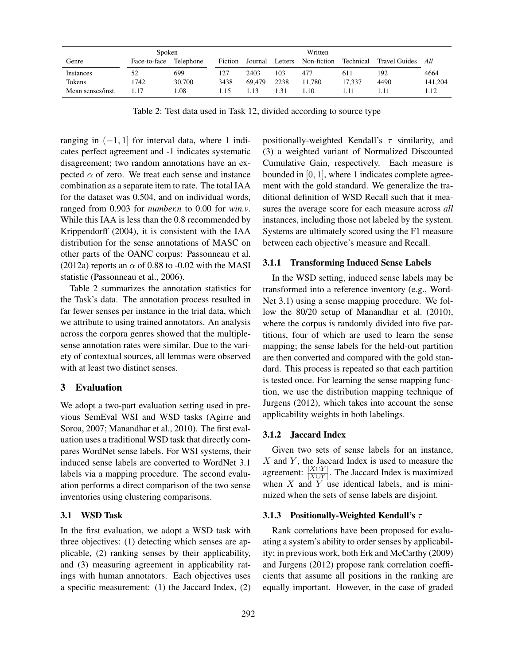| Spoken            |              |           |         | Written |         |             |           |               |         |
|-------------------|--------------|-----------|---------|---------|---------|-------------|-----------|---------------|---------|
| Genre             | Face-to-face | Telephone | Fiction | Journal | Letters | Non-fiction | Technical | Travel Guides | All     |
| Instances         | 52           | 699       | 127     | 2403    | 103     | 477         | 611       | 192           | 4664    |
| Tokens            | 1742         | 30,700    | 3438    | 69.479  | 2238    | 11.780      | 17.337    | 4490          | 141.204 |
| Mean senses/inst. | 1.17         | .08       | .15     | 1.13    | 1.31    | $\pm 10$    | 11        |               | l.12    |

Table 2: Test data used in Task 12, divided according to source type

ranging in  $(-1, 1]$  for interval data, where 1 indicates perfect agreement and -1 indicates systematic disagreement; two random annotations have an expected  $\alpha$  of zero. We treat each sense and instance combination as a separate item to rate. The total IAA for the dataset was 0.504, and on individual words, ranged from 0.903 for *number.n* to 0.00 for *win.v*. While this IAA is less than the 0.8 recommended by Krippendorff (2004), it is consistent with the IAA distribution for the sense annotations of MASC on other parts of the OANC corpus: Passonneau et al. (2012a) reports an  $\alpha$  of 0.88 to -0.02 with the MASI statistic (Passonneau et al., 2006).

Table 2 summarizes the annotation statistics for the Task's data. The annotation process resulted in far fewer senses per instance in the trial data, which we attribute to using trained annotators. An analysis across the corpora genres showed that the multiplesense annotation rates were similar. Due to the variety of contextual sources, all lemmas were observed with at least two distinct senses.

## 3 Evaluation

We adopt a two-part evaluation setting used in previous SemEval WSI and WSD tasks (Agirre and Soroa, 2007; Manandhar et al., 2010). The first evaluation uses a traditional WSD task that directly compares WordNet sense labels. For WSI systems, their induced sense labels are converted to WordNet 3.1 labels via a mapping procedure. The second evaluation performs a direct comparison of the two sense inventories using clustering comparisons.

#### 3.1 WSD Task

In the first evaluation, we adopt a WSD task with three objectives: (1) detecting which senses are applicable, (2) ranking senses by their applicability, and (3) measuring agreement in applicability ratings with human annotators. Each objectives uses a specific measurement: (1) the Jaccard Index, (2) positionally-weighted Kendall's  $\tau$  similarity, and (3) a weighted variant of Normalized Discounted Cumulative Gain, respectively. Each measure is bounded in  $[0, 1]$ , where 1 indicates complete agreement with the gold standard. We generalize the traditional definition of WSD Recall such that it measures the average score for each measure across *all* instances, including those not labeled by the system. Systems are ultimately scored using the F1 measure between each objective's measure and Recall.

#### 3.1.1 Transforming Induced Sense Labels

In the WSD setting, induced sense labels may be transformed into a reference inventory (e.g., Word-Net 3.1) using a sense mapping procedure. We follow the 80/20 setup of Manandhar et al. (2010), where the corpus is randomly divided into five partitions, four of which are used to learn the sense mapping; the sense labels for the held-out partition are then converted and compared with the gold standard. This process is repeated so that each partition is tested once. For learning the sense mapping function, we use the distribution mapping technique of Jurgens (2012), which takes into account the sense applicability weights in both labelings.

#### 3.1.2 Jaccard Index

Given two sets of sense labels for an instance,  $X$  and  $Y$ , the Jaccard Index is used to measure the agreement:  $\frac{|X \cap Y|}{|X \cup Y|}$ . The Jaccard Index is maximized when  $X$  and  $\overline{Y}$  use identical labels, and is minimized when the sets of sense labels are disjoint.

#### 3.1.3 Positionally-Weighted Kendall's  $\tau$

Rank correlations have been proposed for evaluating a system's ability to order senses by applicability; in previous work, both Erk and McCarthy (2009) and Jurgens (2012) propose rank correlation coefficients that assume all positions in the ranking are equally important. However, in the case of graded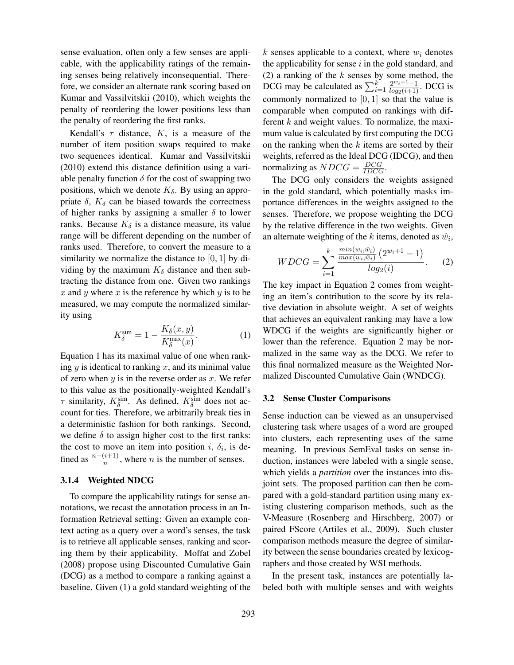sense evaluation, often only a few senses are applicable, with the applicability ratings of the remaining senses being relatively inconsequential. Therefore, we consider an alternate rank scoring based on Kumar and Vassilvitskii (2010), which weights the penalty of reordering the lower positions less than the penalty of reordering the first ranks.

Kendall's  $\tau$  distance, K, is a measure of the number of item position swaps required to make two sequences identical. Kumar and Vassilvitskii (2010) extend this distance definition using a variable penalty function  $\delta$  for the cost of swapping two positions, which we denote  $K_{\delta}$ . By using an appropriate  $\delta$ ,  $K_{\delta}$  can be biased towards the correctness of higher ranks by assigning a smaller  $\delta$  to lower ranks. Because  $K_{\delta}$  is a distance measure, its value range will be different depending on the number of ranks used. Therefore, to convert the measure to a similarity we normalize the distance to  $[0, 1]$  by dividing by the maximum  $K_{\delta}$  distance and then subtracting the distance from one. Given two rankings x and y where x is the reference by which y is to be measured, we may compute the normalized similarity using

$$
K_{\delta}^{\text{sim}} = 1 - \frac{K_{\delta}(x, y)}{K_{\delta}^{\max}(x)}.
$$
 (1)

Equation 1 has its maximal value of one when ranking  $y$  is identical to ranking  $x$ , and its minimal value of zero when  $y$  is in the reverse order as  $x$ . We refer to this value as the positionally-weighted Kendall's  $\tau$  similarity,  $K_{\delta}^{\text{sim}}$ . As defined,  $K_{\delta}^{\text{sim}}$  does not account for ties. Therefore, we arbitrarily break ties in a deterministic fashion for both rankings. Second, we define  $\delta$  to assign higher cost to the first ranks: the cost to move an item into position i,  $\delta_i$ , is defined as  $\frac{n-(i+1)}{n}$ , where *n* is the number of senses.

#### 3.1.4 Weighted NDCG

To compare the applicability ratings for sense annotations, we recast the annotation process in an Information Retrieval setting: Given an example context acting as a query over a word's senses, the task is to retrieve all applicable senses, ranking and scoring them by their applicability. Moffat and Zobel (2008) propose using Discounted Cumulative Gain (DCG) as a method to compare a ranking against a baseline. Given (1) a gold standard weighting of the k senses applicable to a context, where  $w_i$  denotes the applicability for sense  $i$  in the gold standard, and (2) a ranking of the  $k$  senses by some method, the DCG may be calculated as  $\sum_{i=1}^{k} \frac{2^{w_i+1}-1}{\log_2(i+1)}$ . DCG is commonly normalized to  $[0, 1]$  so that the value is comparable when computed on rankings with different  $k$  and weight values. To normalize, the maximum value is calculated by first computing the DCG on the ranking when the  $k$  items are sorted by their weights, referred as the Ideal DCG (IDCG), and then normalizing as  $NDCG = \frac{DCG}{IDCG}$ .

The DCG only considers the weights assigned in the gold standard, which potentially masks importance differences in the weights assigned to the senses. Therefore, we propose weighting the DCG by the relative difference in the two weights. Given an alternate weighting of the k items, denoted as  $\hat{w}_i$ ,

$$
WDCG = \sum_{i=1}^{k} \frac{\frac{\min(w_i, \hat{w}_i)}{\max(w_i, \hat{w}_i)} (2^{w_i+1} - 1)}{\log_2(i)}.
$$
 (2)

The key impact in Equation 2 comes from weighting an item's contribution to the score by its relative deviation in absolute weight. A set of weights that achieves an equivalent ranking may have a low WDCG if the weights are significantly higher or lower than the reference. Equation 2 may be normalized in the same way as the DCG. We refer to this final normalized measure as the Weighted Normalized Discounted Cumulative Gain (WNDCG).

#### 3.2 Sense Cluster Comparisons

Sense induction can be viewed as an unsupervised clustering task where usages of a word are grouped into clusters, each representing uses of the same meaning. In previous SemEval tasks on sense induction, instances were labeled with a single sense, which yields a *partition* over the instances into disjoint sets. The proposed partition can then be compared with a gold-standard partition using many existing clustering comparison methods, such as the V-Measure (Rosenberg and Hirschberg, 2007) or paired FScore (Artiles et al., 2009). Such cluster comparison methods measure the degree of similarity between the sense boundaries created by lexicographers and those created by WSI methods.

In the present task, instances are potentially labeled both with multiple senses and with weights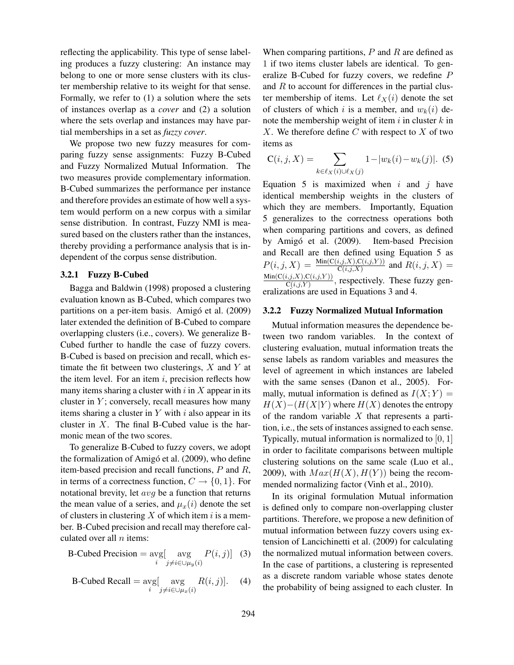reflecting the applicability. This type of sense labeling produces a fuzzy clustering: An instance may belong to one or more sense clusters with its cluster membership relative to its weight for that sense. Formally, we refer to (1) a solution where the sets of instances overlap as a *cover* and (2) a solution where the sets overlap and instances may have partial memberships in a set as *fuzzy cover*.

We propose two new fuzzy measures for comparing fuzzy sense assignments: Fuzzy B-Cubed and Fuzzy Normalized Mutual Information. The two measures provide complementary information. B-Cubed summarizes the performance per instance and therefore provides an estimate of how well a system would perform on a new corpus with a similar sense distribution. In contrast, Fuzzy NMI is measured based on the clusters rather than the instances, thereby providing a performance analysis that is independent of the corpus sense distribution.

#### 3.2.1 Fuzzy B-Cubed

Bagga and Baldwin (1998) proposed a clustering evaluation known as B-Cubed, which compares two partitions on a per-item basis. Amigó et al. (2009) later extended the definition of B-Cubed to compare overlapping clusters (i.e., covers). We generalize B-Cubed further to handle the case of fuzzy covers. B-Cubed is based on precision and recall, which estimate the fit between two clusterings,  $X$  and  $Y$  at the item level. For an item  $i$ , precision reflects how many items sharing a cluster with  $i$  in  $X$  appear in its cluster in  $Y$ ; conversely, recall measures how many items sharing a cluster in  $Y$  with  $i$  also appear in its cluster in  $X$ . The final B-Cubed value is the harmonic mean of the two scores.

To generalize B-Cubed to fuzzy covers, we adopt the formalization of Amigó et al. (2009), who define item-based precision and recall functions, P and R, in terms of a correctness function,  $C \rightarrow \{0, 1\}$ . For notational brevity, let avg be a function that returns the mean value of a series, and  $\mu_x(i)$  denote the set of clusters in clustering  $X$  of which item i is a member. B-Cubed precision and recall may therefore calculated over all  $n$  items:

B-Cubed Precision = 
$$
\underset{i}{\text{avg}} \left[ \underset{j \neq i \in \cup \mu_y(i)}{\text{avg}} P(i,j) \right]
$$
 (3)

B-Cubed Recall = 
$$
\underset{i}{\text{avg}} \left[ \underset{j \neq i \in \bigcup \mu_x(i)}{\text{avg}} R(i,j) \right]
$$
. (4)

When comparing partitions,  $P$  and  $R$  are defined as 1 if two items cluster labels are identical. To generalize B-Cubed for fuzzy covers, we redefine P and  $R$  to account for differences in the partial cluster membership of items. Let  $\ell_X(i)$  denote the set of clusters of which i is a member, and  $w_k(i)$  denote the membership weight of item  $i$  in cluster  $k$  in  $X$ . We therefore define  $C$  with respect to  $X$  of two items as

$$
C(i, j, X) = \sum_{k \in \ell_X(i) \cup \ell_X(j)} 1 - |w_k(i) - w_k(j)|. (5)
$$

Equation 5 is maximized when  $i$  and  $j$  have identical membership weights in the clusters of which they are members. Importantly, Equation 5 generalizes to the correctness operations both when comparing partitions and covers, as defined by Amigó et al. (2009). Item-based Precision and Recall are then defined using Equation 5 as  $P(i, j, X) = \frac{\text{Min}(C(i,j,X), C(i,j,Y))}{C(i,j,X)}$  and  $R(i, j, X) =$  $Min(C(i,j,X),C(i,j,Y))$  $\frac{\mathcal{C}(i,j,X), \mathcal{C}(i,j,Y)}{\mathcal{C}(i,j,Y)}$ , respectively. These fuzzy generalizations are used in Equations 3 and 4.

#### 3.2.2 Fuzzy Normalized Mutual Information

Mutual information measures the dependence between two random variables. In the context of clustering evaluation, mutual information treats the sense labels as random variables and measures the level of agreement in which instances are labeled with the same senses (Danon et al., 2005). Formally, mutual information is defined as  $I(X; Y) =$  $H(X)$ −( $H(X|Y)$  where  $H(X)$  denotes the entropy of the random variable  $X$  that represents a partition, i.e., the sets of instances assigned to each sense. Typically, mutual information is normalized to [0, 1] in order to facilitate comparisons between multiple clustering solutions on the same scale (Luo et al., 2009), with  $Max(H(X), H(Y))$  being the recommended normalizing factor (Vinh et al., 2010).

In its original formulation Mutual information is defined only to compare non-overlapping cluster partitions. Therefore, we propose a new definition of mutual information between fuzzy covers using extension of Lancichinetti et al. (2009) for calculating the normalized mutual information between covers. In the case of partitions, a clustering is represented as a discrete random variable whose states denote the probability of being assigned to each cluster. In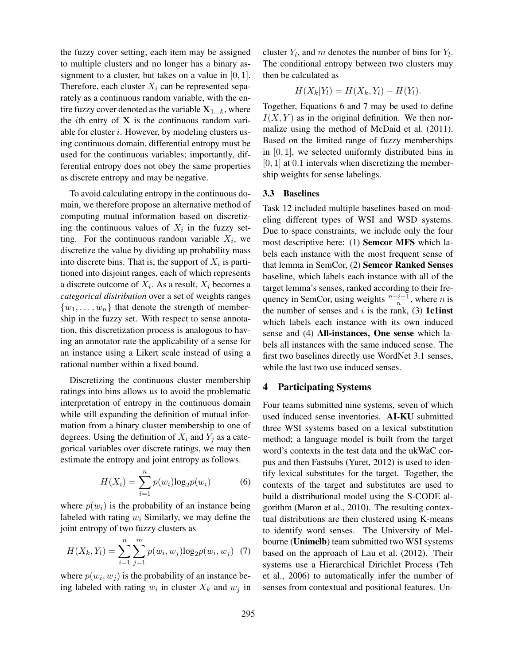the fuzzy cover setting, each item may be assigned to multiple clusters and no longer has a binary assignment to a cluster, but takes on a value in  $[0, 1]$ . Therefore, each cluster  $X_i$  can be represented separately as a continuous random variable, with the entire fuzzy cover denoted as the variable  $X_{1...k}$ , where the *i*th entry of  $X$  is the continuous random variable for cluster i. However, by modeling clusters using continuous domain, differential entropy must be used for the continuous variables; importantly, differential entropy does not obey the same properties as discrete entropy and may be negative.

To avoid calculating entropy in the continuous domain, we therefore propose an alternative method of computing mutual information based on discretizing the continuous values of  $X_i$  in the fuzzy setting. For the continuous random variable  $X_i$ , we discretize the value by dividing up probability mass into discrete bins. That is, the support of  $X_i$  is partitioned into disjoint ranges, each of which represents a discrete outcome of  $X_i$ . As a result,  $X_i$  becomes a *categorical distribution* over a set of weights ranges  $\{w_1, \ldots, w_n\}$  that denote the strength of membership in the fuzzy set. With respect to sense annotation, this discretization process is analogous to having an annotator rate the applicability of a sense for an instance using a Likert scale instead of using a rational number within a fixed bound.

Discretizing the continuous cluster membership ratings into bins allows us to avoid the problematic interpretation of entropy in the continuous domain while still expanding the definition of mutual information from a binary cluster membership to one of degrees. Using the definition of  $X_i$  and  $Y_j$  as a categorical variables over discrete ratings, we may then estimate the entropy and joint entropy as follows.

$$
H(X_i) = \sum_{i=1}^{n} p(w_i) \log_2 p(w_i)
$$
 (6)

where  $p(w_i)$  is the probability of an instance being labeled with rating  $w_i$  Similarly, we may define the joint entropy of two fuzzy clusters as

$$
H(X_k, Y_l) = \sum_{i=1}^{n} \sum_{j=1}^{m} p(w_i, w_j) \log_2 p(w_i, w_j) \tag{7}
$$

where  $p(w_i, w_j)$  is the probability of an instance being labeled with rating  $w_i$  in cluster  $X_k$  and  $w_j$  in

cluster  $Y_l$ , and m denotes the number of bins for  $Y_l$ . The conditional entropy between two clusters may then be calculated as

$$
H(X_k|Y_l) = H(X_k,Y_l) - H(Y_l).
$$

Together, Equations 6 and 7 may be used to define  $I(X, Y)$  as in the original definition. We then normalize using the method of McDaid et al. (2011). Based on the limited range of fuzzy memberships in  $[0, 1]$ , we selected uniformly distributed bins in  $[0, 1]$  at 0.1 intervals when discretizing the membership weights for sense labelings.

## 3.3 Baselines

Task 12 included multiple baselines based on modeling different types of WSI and WSD systems. Due to space constraints, we include only the four most descriptive here: (1) Semcor MFS which labels each instance with the most frequent sense of that lemma in SemCor, (2) Semcor Ranked Senses baseline, which labels each instance with all of the target lemma's senses, ranked according to their frequency in SemCor, using weights  $\frac{n-i+1}{n}$ , where *n* is the number of senses and  $i$  is the rank, (3) 1c1inst which labels each instance with its own induced sense and (4) All-instances, One sense which labels all instances with the same induced sense. The first two baselines directly use WordNet 3.1 senses, while the last two use induced senses.

## 4 Participating Systems

Four teams submitted nine systems, seven of which used induced sense inventories. AI-KU submitted three WSI systems based on a lexical substitution method; a language model is built from the target word's contexts in the test data and the ukWaC corpus and then Fastsubs (Yuret, 2012) is used to identify lexical substitutes for the target. Together, the contexts of the target and substitutes are used to build a distributional model using the S-CODE algorithm (Maron et al., 2010). The resulting contextual distributions are then clustered using K-means to identify word senses. The University of Melbourne (Unimelb) team submitted two WSI systems based on the approach of Lau et al. (2012). Their systems use a Hierarchical Dirichlet Process (Teh et al., 2006) to automatically infer the number of senses from contextual and positional features. Un-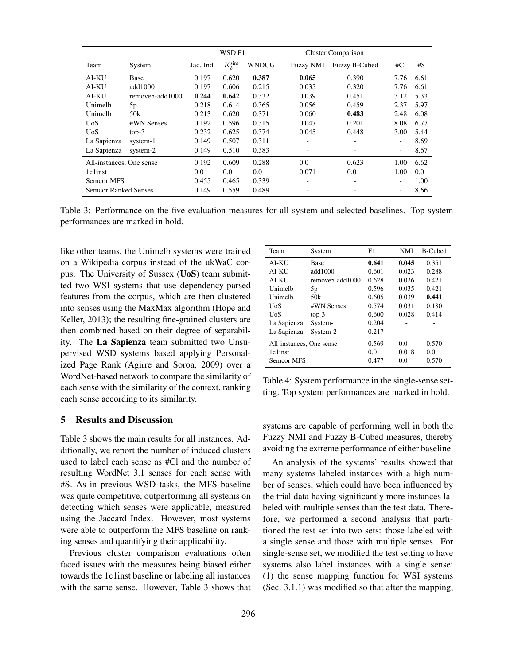|                             |                 | WSD <sub>F1</sub> |                           | <b>Cluster Comparison</b> |                  |                          |      |      |
|-----------------------------|-----------------|-------------------|---------------------------|---------------------------|------------------|--------------------------|------|------|
| Team                        | System          | Jac. Ind.         | $K_{\delta}^{\text{sim}}$ | <b>WNDCG</b>              | <b>Fuzzy NMI</b> | Fuzzy B-Cubed            | #Cl  | #S   |
| <b>AI-KU</b>                | Base            | 0.197             | 0.620                     | 0.387                     | 0.065            | 0.390                    | 7.76 | 6.61 |
| AI-KU                       | add $1000$      | 0.197             | 0.606                     | 0.215                     | 0.035            | 0.320                    | 7.76 | 6.61 |
| AI-KU                       | remove5-add1000 | 0.244             | 0.642                     | 0.332                     | 0.039            | 0.451                    | 3.12 | 5.33 |
| Unimelb                     | 5p              | 0.218             | 0.614                     | 0.365                     | 0.056            | 0.459                    | 2.37 | 5.97 |
| Unimelb                     | 50k             | 0.213             | 0.620                     | 0.371                     | 0.060            | 0.483                    | 2.48 | 6.08 |
| <b>UoS</b>                  | #WN Senses      | 0.192             | 0.596                     | 0.315                     | 0.047            | 0.201                    | 8.08 | 6.77 |
| <b>UoS</b>                  | $top-3$         | 0.232             | 0.625                     | 0.374                     | 0.045            | 0.448                    | 3.00 | 5.44 |
| La Sapienza                 | system-1        | 0.149             | 0.507                     | 0.311                     | -                | ۰                        | ۰    | 8.69 |
| La Sapienza                 | system-2        | 0.149             | 0.510                     | 0.383                     | -                | $\overline{\phantom{a}}$ | ۰    | 8.67 |
| All-instances, One sense    |                 | 0.192             | 0.609                     | 0.288                     | 0.0              | 0.623                    | 1.00 | 6.62 |
| 1c1inst                     |                 | 0.0               | 0.0                       | 0.0                       | 0.071            | 0.0                      | 1.00 | 0.0  |
| Semcor MFS                  |                 | 0.455             | 0.465                     | 0.339                     | -                | -                        |      | 1.00 |
| <b>Semcor Ranked Senses</b> |                 | 0.149             | 0.559                     | 0.489                     |                  |                          | ۰    | 8.66 |

Table 3: Performance on the five evaluation measures for all system and selected baselines. Top system performances are marked in bold.

like other teams, the Unimelb systems were trained on a Wikipedia corpus instead of the ukWaC corpus. The University of Sussex (UoS) team submitted two WSI systems that use dependency-parsed features from the corpus, which are then clustered into senses using the MaxMax algorithm (Hope and Keller, 2013); the resulting fine-grained clusters are then combined based on their degree of separability. The La Sapienza team submitted two Unsupervised WSD systems based applying Personalized Page Rank (Agirre and Soroa, 2009) over a WordNet-based network to compare the similarity of each sense with the similarity of the context, ranking each sense according to its similarity.

| Team                     | System          | F1    | NMI   | <b>B-Cubed</b> |
|--------------------------|-----------------|-------|-------|----------------|
| AI-KU                    | Base            | 0.641 | 0.045 | 0.351          |
| ALKU                     | add1000         | 0.601 | 0.023 | 0.288          |
| AI-KU                    | remove5-add1000 | 0.628 | 0.026 | 0.421          |
| Unimelh                  | 5p              | 0.596 | 0.035 | 0.421          |
| Unimelb                  | 50 <sub>k</sub> | 0.605 | 0.039 | 0.441          |
| <b>UoS</b>               | #WN Senses      | 0.574 | 0.031 | 0.180          |
| UoS                      | $top-3$         | 0.600 | 0.028 | 0.414          |
| La Sapienza              | System-1        | 0.204 |       |                |
| La Sapienza              | System-2        | 0.217 |       |                |
| All-instances, One sense |                 | 0.569 | 0.0   | 0.570          |
| 1c1inst                  |                 | 0.0   | 0.018 | 0.0            |
| Semcor MFS               |                 | 0.477 | 0.0   | 0.570          |

Table 4: System performance in the single-sense setting. Top system performances are marked in bold.

# 5 Results and Discussion

Table 3 shows the main results for all instances. Additionally, we report the number of induced clusters used to label each sense as #Cl and the number of resulting WordNet 3.1 senses for each sense with #S. As in previous WSD tasks, the MFS baseline was quite competitive, outperforming all systems on detecting which senses were applicable, measured using the Jaccard Index. However, most systems were able to outperform the MFS baseline on ranking senses and quantifying their applicability.

Previous cluster comparison evaluations often faced issues with the measures being biased either towards the 1c1inst baseline or labeling all instances with the same sense. However, Table 3 shows that systems are capable of performing well in both the Fuzzy NMI and Fuzzy B-Cubed measures, thereby avoiding the extreme performance of either baseline.

An analysis of the systems' results showed that many systems labeled instances with a high number of senses, which could have been influenced by the trial data having significantly more instances labeled with multiple senses than the test data. Therefore, we performed a second analysis that partitioned the test set into two sets: those labeled with a single sense and those with multiple senses. For single-sense set, we modified the test setting to have systems also label instances with a single sense: (1) the sense mapping function for WSI systems (Sec. 3.1.1) was modified so that after the mapping,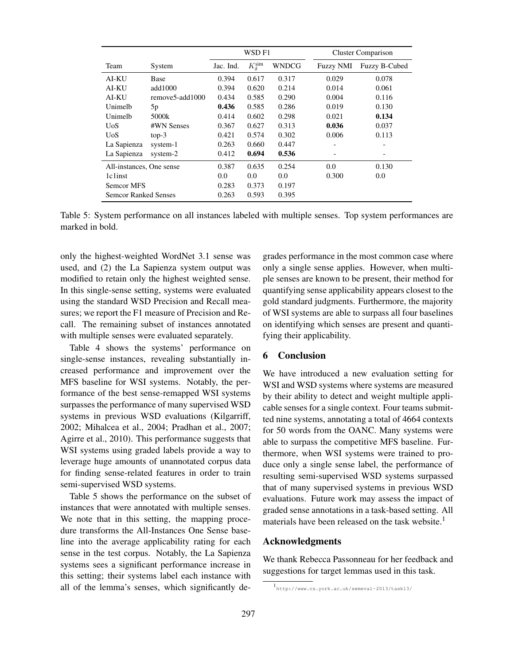|                             |                 | WSD F1    |                           |       |                  | <b>Cluster Comparison</b> |  |  |
|-----------------------------|-----------------|-----------|---------------------------|-------|------------------|---------------------------|--|--|
| Team                        | System          | Jac. Ind. | $K_{\delta}^{\text{sim}}$ | WNDCG | <b>Fuzzy NMI</b> | Fuzzy B-Cubed             |  |  |
| AI-KU                       | <b>Base</b>     | 0.394     | 0.617                     | 0.317 | 0.029            | 0.078                     |  |  |
| AI-KU                       | add1000         | 0.394     | 0.620                     | 0.214 | 0.014            | 0.061                     |  |  |
| AI-KU                       | remove5-add1000 | 0.434     | 0.585                     | 0.290 | 0.004            | 0.116                     |  |  |
| Unimelb                     | 5 <sub>p</sub>  | 0.436     | 0.585                     | 0.286 | 0.019            | 0.130                     |  |  |
| Unimelb                     | 5000k           | 0.414     | 0.602                     | 0.298 | 0.021            | 0.134                     |  |  |
| <b>UoS</b>                  | #WN Senses      | 0.367     | 0.627                     | 0.313 | 0.036            | 0.037                     |  |  |
| UoS                         | $top-3$         | 0.421     | 0.574                     | 0.302 | 0.006            | 0.113                     |  |  |
| La Sapienza                 | system-1        | 0.263     | 0.660                     | 0.447 |                  |                           |  |  |
| La Sapienza                 | system-2        | 0.412     | 0.694                     | 0.536 |                  |                           |  |  |
| All-instances, One sense    |                 | 0.387     | 0.635                     | 0.254 | 0.0              | 0.130                     |  |  |
| 1c <sub>1</sub> inst        |                 | 0.0       | 0.0                       | 0.0   | 0.300            | 0.0                       |  |  |
| Semcor MFS                  |                 | 0.283     | 0.373                     | 0.197 |                  |                           |  |  |
| <b>Semcor Ranked Senses</b> |                 | 0.263     | 0.593                     | 0.395 |                  |                           |  |  |

Table 5: System performance on all instances labeled with multiple senses. Top system performances are marked in bold.

only the highest-weighted WordNet 3.1 sense was used, and (2) the La Sapienza system output was modified to retain only the highest weighted sense. In this single-sense setting, systems were evaluated using the standard WSD Precision and Recall measures; we report the F1 measure of Precision and Recall. The remaining subset of instances annotated with multiple senses were evaluated separately.

Table 4 shows the systems' performance on single-sense instances, revealing substantially increased performance and improvement over the MFS baseline for WSI systems. Notably, the performance of the best sense-remapped WSI systems surpasses the performance of many supervised WSD systems in previous WSD evaluations (Kilgarriff, 2002; Mihalcea et al., 2004; Pradhan et al., 2007; Agirre et al., 2010). This performance suggests that WSI systems using graded labels provide a way to leverage huge amounts of unannotated corpus data for finding sense-related features in order to train semi-supervised WSD systems.

Table 5 shows the performance on the subset of instances that were annotated with multiple senses. We note that in this setting, the mapping procedure transforms the All-Instances One Sense baseline into the average applicability rating for each sense in the test corpus. Notably, the La Sapienza systems sees a significant performance increase in this setting; their systems label each instance with all of the lemma's senses, which significantly degrades performance in the most common case where only a single sense applies. However, when multiple senses are known to be present, their method for quantifying sense applicability appears closest to the gold standard judgments. Furthermore, the majority of WSI systems are able to surpass all four baselines on identifying which senses are present and quantifying their applicability.

# 6 Conclusion

We have introduced a new evaluation setting for WSI and WSD systems where systems are measured by their ability to detect and weight multiple applicable senses for a single context. Four teams submitted nine systems, annotating a total of 4664 contexts for 50 words from the OANC. Many systems were able to surpass the competitive MFS baseline. Furthermore, when WSI systems were trained to produce only a single sense label, the performance of resulting semi-supervised WSD systems surpassed that of many supervised systems in previous WSD evaluations. Future work may assess the impact of graded sense annotations in a task-based setting. All materials have been released on the task website.<sup>1</sup>

#### Acknowledgments

We thank Rebecca Passonneau for her feedback and suggestions for target lemmas used in this task.

<sup>1</sup> http://www.cs.york.ac.uk/semeval-2013/task13/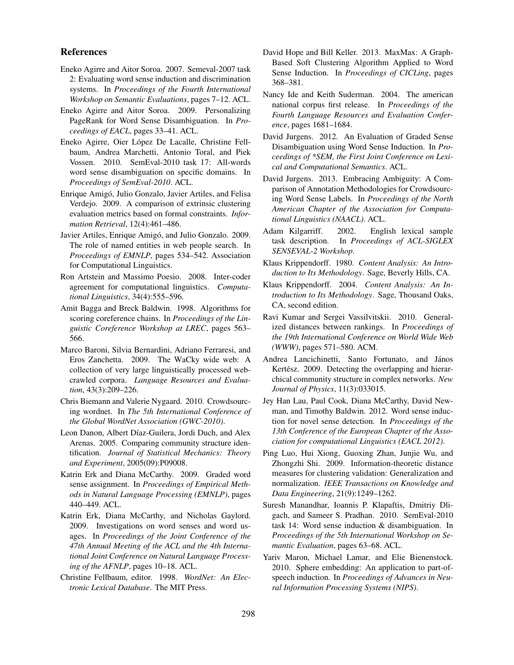#### References

- Eneko Agirre and Aitor Soroa. 2007. Semeval-2007 task 2: Evaluating word sense induction and discrimination systems. In *Proceedings of the Fourth International Workshop on Semantic Evaluations*, pages 7–12. ACL.
- Eneko Agirre and Aitor Soroa. 2009. Personalizing PageRank for Word Sense Disambiguation. In *Proceedings of EACL*, pages 33–41. ACL.
- Eneko Agirre, Oier Lopez De Lacalle, Christine Fell- ´ baum, Andrea Marchetti, Antonio Toral, and Piek Vossen. 2010. SemEval-2010 task 17: All-words word sense disambiguation on specific domains. In *Proceedings of SemEval-2010*. ACL.
- Enrique Amigo, Julio Gonzalo, Javier Artiles, and Felisa ´ Verdejo. 2009. A comparison of extrinsic clustering evaluation metrics based on formal constraints. *Information Retrieval*, 12(4):461–486.
- Javier Artiles, Enrique Amigó, and Julio Gonzalo. 2009. The role of named entities in web people search. In *Proceedings of EMNLP*, pages 534–542. Association for Computational Linguistics.
- Ron Artstein and Massimo Poesio. 2008. Inter-coder agreement for computational linguistics. *Computational Linguistics*, 34(4):555–596.
- Amit Bagga and Breck Baldwin. 1998. Algorithms for scoring coreference chains. In *Proceedings of the Linguistic Coreference Workshop at LREC*, pages 563– 566.
- Marco Baroni, Silvia Bernardini, Adriano Ferraresi, and Eros Zanchetta. 2009. The WaCky wide web: A collection of very large linguistically processed webcrawled corpora. *Language Resources and Evaluation*, 43(3):209–226.
- Chris Biemann and Valerie Nygaard. 2010. Crowdsourcing wordnet. In *The 5th International Conference of the Global WordNet Association (GWC-2010)*.
- Leon Danon, Albert Díaz-Guilera, Jordi Duch, and Alex Arenas. 2005. Comparing community structure identification. *Journal of Statistical Mechanics: Theory and Experiment*, 2005(09):P09008.
- Katrin Erk and Diana McCarthy. 2009. Graded word sense assignment. In *Proceedings of Empirical Methods in Natural Language Processing (EMNLP)*, pages 440–449. ACL.
- Katrin Erk, Diana McCarthy, and Nicholas Gaylord. 2009. Investigations on word senses and word usages. In *Proceedings of the Joint Conference of the 47th Annual Meeting of the ACL and the 4th International Joint Conference on Natural Language Processing of the AFNLP*, pages 10–18. ACL.
- Christine Fellbaum, editor. 1998. *WordNet: An Electronic Lexical Database*. The MIT Press.
- David Hope and Bill Keller. 2013. MaxMax: A Graph-Based Soft Clustering Algorithm Applied to Word Sense Induction. In *Proceedings of CICLing*, pages 368–381.
- Nancy Ide and Keith Suderman. 2004. The american national corpus first release. In *Proceedings of the Fourth Language Resources and Evaluation Conference*, pages 1681–1684.
- David Jurgens. 2012. An Evaluation of Graded Sense Disambiguation using Word Sense Induction. In *Proceedings of \*SEM, the First Joint Conference on Lexical and Computational Semantics*. ACL.
- David Jurgens. 2013. Embracing Ambiguity: A Comparison of Annotation Methodologies for Crowdsourcing Word Sense Labels. In *Proceedings of the North American Chapter of the Association for Computational Linguistics (NAACL)*. ACL.
- Adam Kilgarriff. 2002. English lexical sample task description. In *Proceedings of ACL-SIGLEX SENSEVAL-2 Workshop*.
- Klaus Krippendorff. 1980. *Content Analysis: An Introduction to Its Methodology*. Sage, Beverly Hills, CA.
- Klaus Krippendorff. 2004. *Content Analysis: An Introduction to Its Methodology*. Sage, Thousand Oaks, CA, second edition.
- Ravi Kumar and Sergei Vassilvitskii. 2010. Generalized distances between rankings. In *Proceedings of the 19th International Conference on World Wide Web (WWW)*, pages 571–580. ACM.
- Andrea Lancichinetti, Santo Fortunato, and János Kertész. 2009. Detecting the overlapping and hierarchical community structure in complex networks. *New Journal of Physics*, 11(3):033015.
- Jey Han Lau, Paul Cook, Diana McCarthy, David Newman, and Timothy Baldwin. 2012. Word sense induction for novel sense detection. In *Proceedings of the 13th Conference of the European Chapter of the Association for computational Linguistics (EACL 2012)*.
- Ping Luo, Hui Xiong, Guoxing Zhan, Junjie Wu, and Zhongzhi Shi. 2009. Information-theoretic distance measures for clustering validation: Generalization and normalization. *IEEE Transactions on Knowledge and Data Engineering*, 21(9):1249–1262.
- Suresh Manandhar, Ioannis P. Klapaftis, Dmitriy Dligach, and Sameer S. Pradhan. 2010. SemEval-2010 task 14: Word sense induction & disambiguation. In *Proceedings of the 5th International Workshop on Semantic Evaluation*, pages 63–68. ACL.
- Yariv Maron, Michael Lamar, and Elie Bienenstock. 2010. Sphere embedding: An application to part-ofspeech induction. In *Proceedings of Advances in Neural Information Processing Systems (NIPS)*.